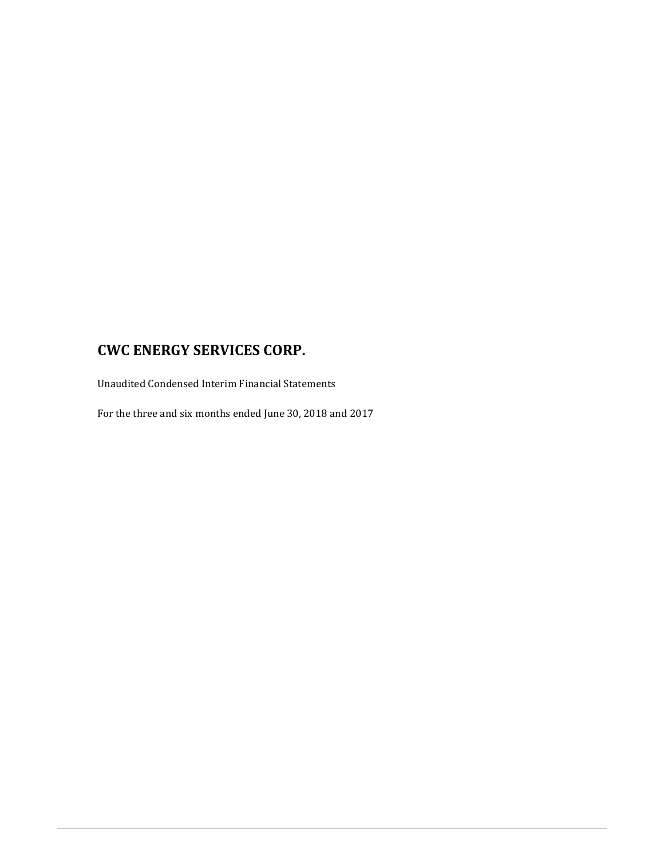Unaudited Condensed Interim Financial Statements

For the three and six months ended June 30, 2018 and 2017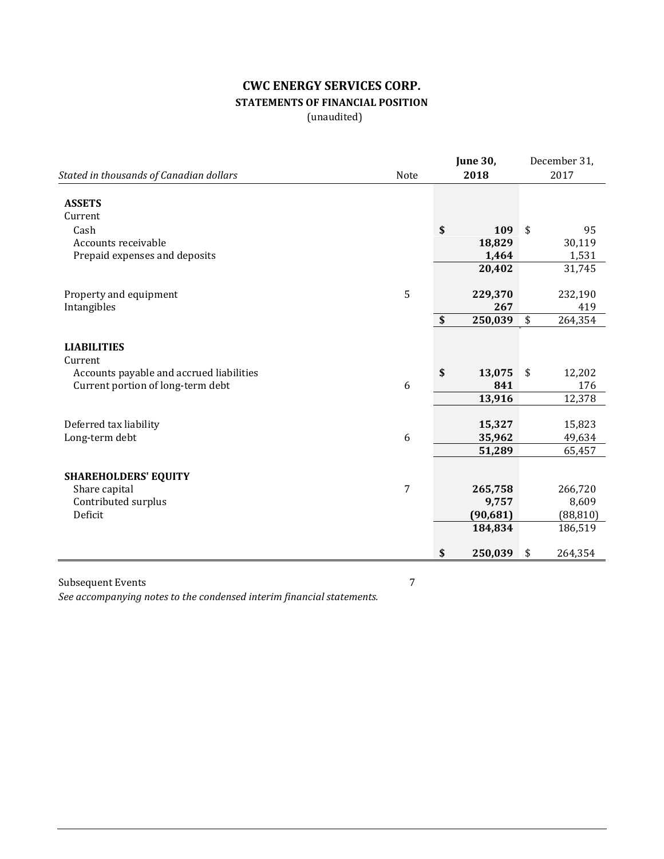# **CWC ENERGY SERVICES CORP. STATEMENTS OF FINANCIAL POSITION**

(unaudited)

|                                          |      | <b>June 30,</b> | December 31,  |
|------------------------------------------|------|-----------------|---------------|
| Stated in thousands of Canadian dollars  | Note | 2018            | 2017          |
| <b>ASSETS</b><br>Current                 |      |                 |               |
| Cash                                     |      | \$<br>109       | \$<br>95      |
| Accounts receivable                      |      | 18,829          | 30,119        |
| Prepaid expenses and deposits            |      | 1,464           | 1,531         |
|                                          |      | 20,402          | 31,745        |
|                                          | 5    |                 |               |
| Property and equipment                   |      | 229,370         | 232,190       |
| Intangibles                              |      | \$<br>267       | \$<br>419     |
|                                          |      | 250,039         | 264,354       |
| <b>LIABILITIES</b><br>Current            |      |                 |               |
| Accounts payable and accrued liabilities |      | \$<br>13,075    | \$<br>12,202  |
| Current portion of long-term debt        | 6    | 841             | 176           |
|                                          |      | 13,916          | 12,378        |
|                                          |      |                 |               |
| Deferred tax liability                   |      | 15,327          | 15,823        |
| Long-term debt                           | 6    | 35,962          | 49,634        |
|                                          |      | 51,289          | 65,457        |
| <b>SHAREHOLDERS' EQUITY</b>              |      |                 |               |
| Share capital                            | 7    | 265,758         | 266,720       |
| Contributed surplus                      |      | 9,757           | 8,609         |
| Deficit                                  |      | (90, 681)       | (88, 810)     |
|                                          |      | 184,834         | 186,519       |
|                                          |      | \$<br>250,039   | \$<br>264,354 |

Subsequent Events 7 *See accompanying notes to the condensed interim financial statements.*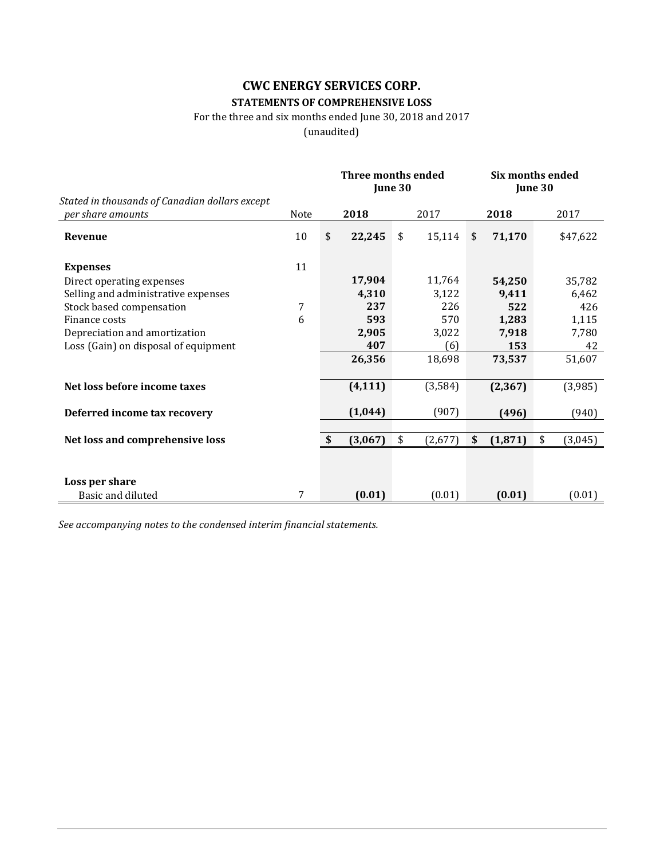## **CWC ENERGY SERVICES CORP. STATEMENTS OF COMPREHENSIVE LOSS**

### For the three and six months ended June 30, 2018 and 2017

(unaudited)

|                                                                     |      |              | <b>Three months ended</b><br>June 30 |    |         | <b>Six months ended</b><br>June 30 |          |    |          |
|---------------------------------------------------------------------|------|--------------|--------------------------------------|----|---------|------------------------------------|----------|----|----------|
| Stated in thousands of Canadian dollars except<br>per share amounts | Note |              | 2018                                 |    | 2017    |                                    | 2018     |    | 2017     |
| Revenue                                                             | 10   | \$           | 22,245                               | \$ | 15,114  | \$                                 | 71,170   |    | \$47,622 |
| <b>Expenses</b>                                                     | 11   |              |                                      |    |         |                                    |          |    |          |
| Direct operating expenses                                           |      |              | 17,904                               |    | 11,764  |                                    | 54,250   |    | 35,782   |
| Selling and administrative expenses                                 |      |              | 4,310                                |    | 3,122   |                                    | 9,411    |    | 6,462    |
| Stock based compensation                                            | 7    |              | 237                                  |    | 226     |                                    | 522      |    | 426      |
| Finance costs                                                       | 6    |              | 593                                  |    | 570     |                                    | 1,283    |    | 1,115    |
| Depreciation and amortization                                       |      |              | 2,905                                |    | 3,022   |                                    | 7,918    |    | 7,780    |
| Loss (Gain) on disposal of equipment                                |      |              | 407                                  |    | (6)     |                                    | 153      |    | 42       |
|                                                                     |      |              | 26,356                               |    | 18,698  |                                    | 73,537   |    | 51,607   |
| Net loss before income taxes                                        |      |              | (4, 111)                             |    | (3,584) |                                    | (2, 367) |    | (3,985)  |
| Deferred income tax recovery                                        |      |              | (1,044)                              |    | (907)   |                                    | (496)    |    | (940)    |
|                                                                     |      |              |                                      |    |         |                                    |          |    |          |
| Net loss and comprehensive loss                                     |      | $\mathbf{s}$ | (3,067)                              | \$ | (2,677) | \$                                 | (1, 871) | \$ | (3,045)  |
|                                                                     |      |              |                                      |    |         |                                    |          |    |          |
| Loss per share                                                      |      |              |                                      |    |         |                                    |          |    |          |
| Basic and diluted                                                   | 7    |              | (0.01)                               |    | (0.01)  |                                    | (0.01)   |    | (0.01)   |

*See accompanying notes to the condensed interim financial statements.*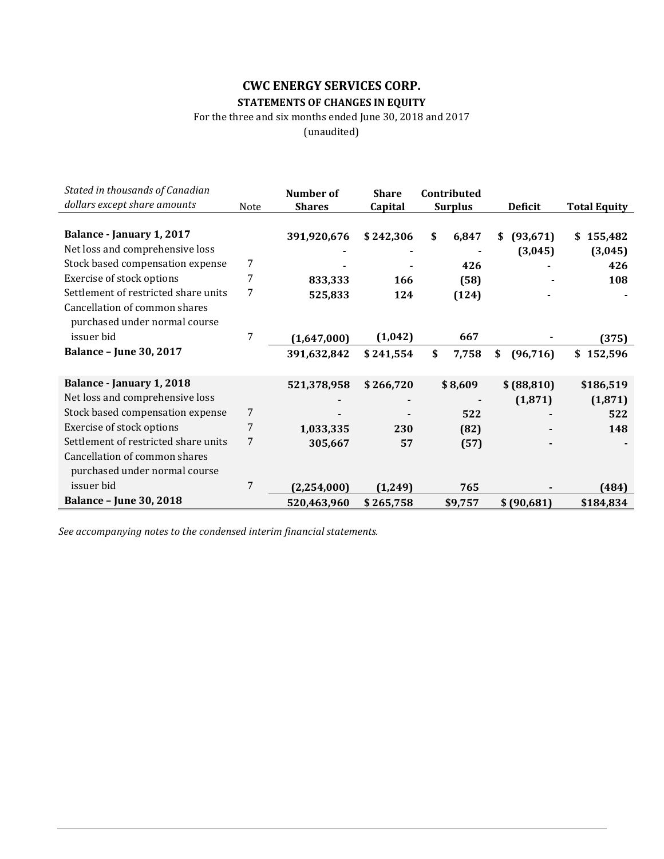## **CWC ENERGY SERVICES CORP. STATEMENTS OF CHANGES IN EQUITY**

For the three and six months ended June 30, 2018 and 2017

(unaudited)

| Stated in thousands of Canadian<br>dollars except share amounts | Note | Number of<br><b>Shares</b> | <b>Share</b><br>Capital | Contributed<br><b>Surplus</b> | <b>Deficit</b>  | <b>Total Equity</b> |
|-----------------------------------------------------------------|------|----------------------------|-------------------------|-------------------------------|-----------------|---------------------|
|                                                                 |      |                            |                         |                               |                 |                     |
| Balance - January 1, 2017                                       |      | 391,920,676                | \$242,306               | \$<br>6,847                   | (93, 671)<br>\$ | \$155,482           |
| Net loss and comprehensive loss                                 |      |                            |                         |                               | (3,045)         | (3,045)             |
| Stock based compensation expense                                | 7    |                            |                         | 426                           |                 | 426                 |
| Exercise of stock options                                       | 7    | 833,333                    | 166                     | (58)                          |                 | 108                 |
| Settlement of restricted share units                            | 7    | 525,833                    | 124                     | (124)                         |                 |                     |
| Cancellation of common shares                                   |      |                            |                         |                               |                 |                     |
| purchased under normal course                                   |      |                            |                         |                               |                 |                     |
| issuer bid                                                      | 7    | (1,647,000)                | (1,042)                 | 667                           |                 | (375)               |
| <b>Balance - June 30, 2017</b>                                  |      | 391,632,842                | \$241,554               | \$<br>7,758                   | \$<br>(96, 716) | \$<br>152,596       |
|                                                                 |      |                            |                         |                               |                 |                     |
| Balance - January 1, 2018                                       |      | 521,378,958                | \$266,720               | \$8,609                       | \$ (88, 810)    | \$186,519           |
| Net loss and comprehensive loss                                 |      |                            |                         |                               | (1, 871)        | (1, 871)            |
| Stock based compensation expense                                | 7    |                            |                         | 522                           |                 | 522                 |
| Exercise of stock options                                       | 7    | 1,033,335                  | 230                     | (82)                          |                 | 148                 |
| Settlement of restricted share units                            | 7    | 305,667                    | 57                      | (57)                          |                 |                     |
| Cancellation of common shares                                   |      |                            |                         |                               |                 |                     |
| purchased under normal course                                   |      |                            |                         |                               |                 |                     |
| issuer bid                                                      | 7    | (2, 254, 000)              | (1, 249)                | 765                           |                 | (484)               |
| <b>Balance - June 30, 2018</b>                                  |      | 520,463,960                | \$265,758               | \$9,757                       | \$(90,681)      | \$184,834           |

*See accompanying notes to the condensed interim financial statements.*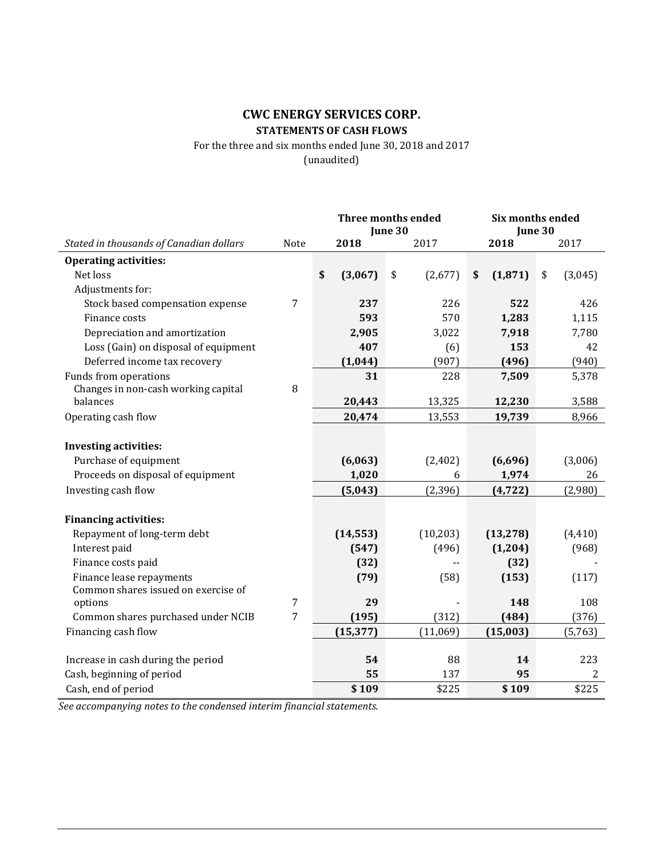# **CWC ENERGY SERVICES CORP. STATEMENTS OF CASH FLOWS**

For the three and six months ended June 30, 2018 and 2017 (unaudited)

|                                                                 |                | Three months ended<br>June 30 |           |               | <b>Six months ended</b><br>June 30 |                |  |
|-----------------------------------------------------------------|----------------|-------------------------------|-----------|---------------|------------------------------------|----------------|--|
| Stated in thousands of Canadian dollars                         | <b>Note</b>    |                               | 2018      | 2017          | 2018                               | 2017           |  |
| <b>Operating activities:</b>                                    |                |                               |           |               |                                    |                |  |
| Net loss                                                        |                | \$                            | (3,067)   | \$<br>(2,677) | (1, 871)<br>\$                     | (3,045)<br>\$  |  |
| Adjustments for:                                                |                |                               |           |               |                                    |                |  |
| Stock based compensation expense                                | $\overline{7}$ |                               | 237       | 226           | 522                                | 426            |  |
| Finance costs                                                   |                |                               | 593       | 570           | 1,283                              | 1,115          |  |
| Depreciation and amortization                                   |                |                               | 2,905     | 3,022         | 7,918                              | 7,780          |  |
| Loss (Gain) on disposal of equipment                            |                |                               | 407       | (6)           | 153                                | 42             |  |
| Deferred income tax recovery                                    |                |                               | (1,044)   | (907)         | (496)                              | (940)          |  |
| Funds from operations                                           |                |                               | 31        | 228           | 7,509                              | 5,378          |  |
| Changes in non-cash working capital                             | $\, 8$         |                               |           |               |                                    |                |  |
| balances                                                        |                |                               | 20,443    | 13,325        | 12,230                             | 3,588          |  |
| Operating cash flow                                             |                |                               | 20,474    | 13,553        | 19,739                             | 8,966          |  |
|                                                                 |                |                               |           |               |                                    |                |  |
| <b>Investing activities:</b>                                    |                |                               |           |               |                                    |                |  |
| Purchase of equipment                                           |                |                               | (6,063)   | (2, 402)      | (6,696)                            | (3,006)        |  |
| Proceeds on disposal of equipment                               |                |                               | 1,020     | 6             | 1,974                              | 26             |  |
| Investing cash flow                                             |                |                               | (5,043)   | (2, 396)      | (4, 722)                           | (2,980)        |  |
|                                                                 |                |                               |           |               |                                    |                |  |
| <b>Financing activities:</b>                                    |                |                               |           |               |                                    |                |  |
| Repayment of long-term debt                                     |                |                               | (14, 553) | (10, 203)     | (13, 278)                          | (4, 410)       |  |
| Interest paid                                                   |                |                               | (547)     | (496)         | (1, 204)                           | (968)          |  |
| Finance costs paid                                              |                |                               | (32)      | --            | (32)                               |                |  |
| Finance lease repayments<br>Common shares issued on exercise of |                |                               | (79)      | (58)          | (153)                              | (117)          |  |
| options                                                         | $\overline{7}$ |                               | 29        |               | 148                                | 108            |  |
| Common shares purchased under NCIB                              | 7              |                               | (195)     | (312)         | (484)                              | (376)          |  |
| Financing cash flow                                             |                |                               | (15, 377) | (11,069)      | (15,003)                           | (5,763)        |  |
|                                                                 |                |                               |           |               |                                    |                |  |
| Increase in cash during the period                              |                |                               | 54        | 88            | 14                                 | 223            |  |
| Cash, beginning of period                                       |                |                               | 55        | 137           | 95                                 | $\overline{2}$ |  |
| Cash, end of period                                             |                |                               | \$109     | \$225         | \$109                              | \$225          |  |

*See accompanying notes to the condensed interim financial statements.*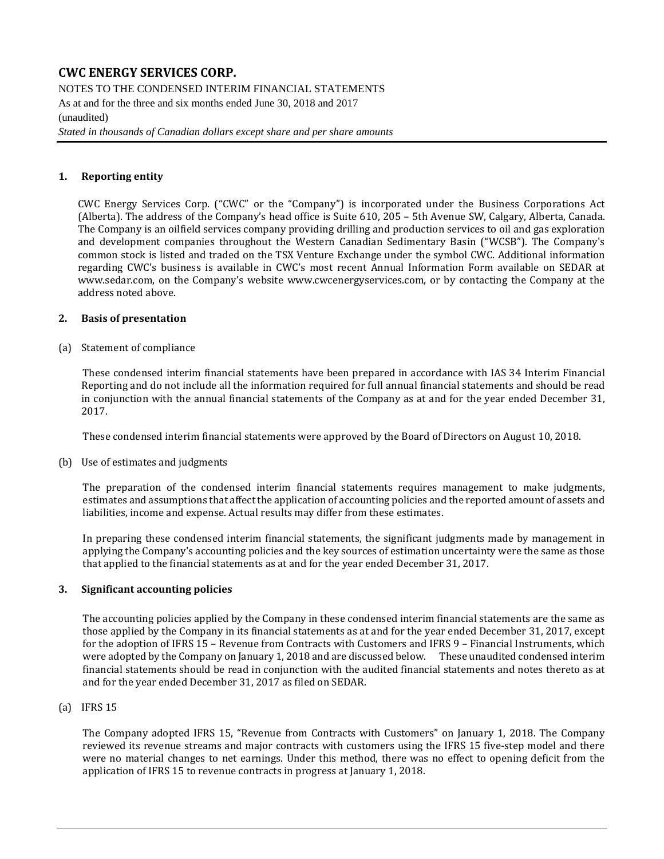NOTES TO THE CONDENSED INTERIM FINANCIAL STATEMENTS As at and for the three and six months ended June 30, 2018 and 2017 (unaudited)

*Stated in thousands of Canadian dollars except share and per share amounts*

### **1. Reporting entity**

CWC Energy Services Corp. ("CWC" or the "Company") is incorporated under the Business Corporations Act (Alberta). The address of the Company's head office is Suite 610, 205 – 5th Avenue SW, Calgary, Alberta, Canada. The Company is an oilfield services company providing drilling and production services to oil and gas exploration and development companies throughout the Western Canadian Sedimentary Basin ("WCSB"). The Company's common stock is listed and traded on the TSX Venture Exchange under the symbol CWC. Additional information regarding CWC's business is available in CWC's most recent Annual Information Form available on SEDAR at [www.sedar.com,](http://www.sedar.com/) on the Company's website [www.cwcenergyservices.com,](http://www.cwcenergyservices.com/) or by contacting the Company at the address noted above.

#### **2. Basis of presentation**

(a) Statement of compliance

These condensed interim financial statements have been prepared in accordance with IAS 34 Interim Financial Reporting and do not include all the information required for full annual financial statements and should be read in conjunction with the annual financial statements of the Company as at and for the year ended December 31, 2017.

These condensed interim financial statements were approved by the Board of Directors on August 10, 2018.

(b) Use of estimates and judgments

The preparation of the condensed interim financial statements requires management to make judgments, estimates and assumptions that affect the application of accounting policies and the reported amount of assets and liabilities, income and expense. Actual results may differ from these estimates.

In preparing these condensed interim financial statements, the significant judgments made by management in applying the Company's accounting policies and the key sources of estimation uncertainty were the same as those that applied to the financial statements as at and for the year ended December 31, 2017.

#### **3. Significant accounting policies**

The accounting policies applied by the Company in these condensed interim financial statements are the same as those applied by the Company in its financial statements as at and for the year ended December 31, 2017, except for the adoption of IFRS 15 – Revenue from Contracts with Customers and IFRS 9 – Financial Instruments, which were adopted by the Company on January 1, 2018 and are discussed below. These unaudited condensed interim financial statements should be read in conjunction with the audited financial statements and notes thereto as at and for the year ended December 31, 2017 as filed on SEDAR.

#### (a) IFRS 15

The Company adopted IFRS 15, "Revenue from Contracts with Customers" on January 1, 2018. The Company reviewed its revenue streams and major contracts with customers using the IFRS 15 five-step model and there were no material changes to net earnings. Under this method, there was no effect to opening deficit from the application of IFRS 15 to revenue contracts in progress at January 1, 2018.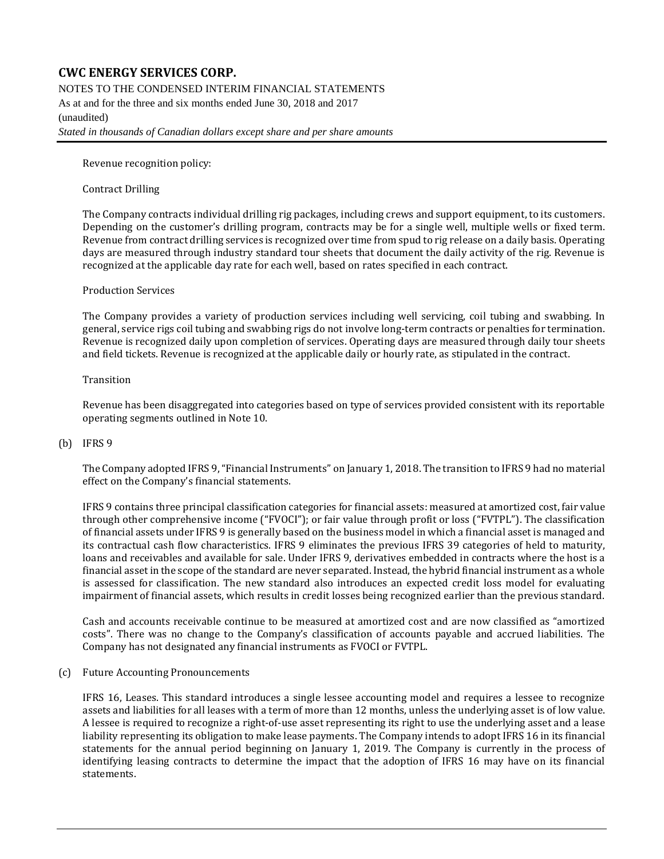NOTES TO THE CONDENSED INTERIM FINANCIAL STATEMENTS

As at and for the three and six months ended June 30, 2018 and 2017 (unaudited) *Stated in thousands of Canadian dollars except share and per share amounts*

Revenue recognition policy:

### Contract Drilling

The Company contracts individual drilling rig packages, including crews and support equipment, to its customers. Depending on the customer's drilling program, contracts may be for a single well, multiple wells or fixed term. Revenue from contract drilling services is recognized over time from spud to rig release on a daily basis. Operating days are measured through industry standard tour sheets that document the daily activity of the rig. Revenue is recognized at the applicable day rate for each well, based on rates specified in each contract.

#### Production Services

The Company provides a variety of production services including well servicing, coil tubing and swabbing. In general, service rigs coil tubing and swabbing rigs do not involve long-term contracts or penalties for termination. Revenue is recognized daily upon completion of services. Operating days are measured through daily tour sheets and field tickets. Revenue is recognized at the applicable daily or hourly rate, as stipulated in the contract.

#### Transition

Revenue has been disaggregated into categories based on type of services provided consistent with its reportable operating segments outlined in Note 10.

### (b) IFRS 9

The Company adopted IFRS 9, "Financial Instruments" on January 1, 2018. The transition to IFRS 9 had no material effect on the Company's financial statements.

IFRS 9 contains three principal classification categories for financial assets: measured at amortized cost, fair value through other comprehensive income ("FVOCI"); or fair value through profit or loss ("FVTPL"). The classification of financial assets under IFRS 9 is generally based on the business model in which a financial asset is managed and its contractual cash flow characteristics. IFRS 9 eliminates the previous IFRS 39 categories of held to maturity, loans and receivables and available for sale. Under IFRS 9, derivatives embedded in contracts where the host is a financial asset in the scope of the standard are never separated. Instead, the hybrid financial instrument as a whole is assessed for classification. The new standard also introduces an expected credit loss model for evaluating impairment of financial assets, which results in credit losses being recognized earlier than the previous standard.

Cash and accounts receivable continue to be measured at amortized cost and are now classified as "amortized costs". There was no change to the Company's classification of accounts payable and accrued liabilities. The Company has not designated any financial instruments as FVOCI or FVTPL.

#### (c) Future Accounting Pronouncements

IFRS 16, Leases. This standard introduces a single lessee accounting model and requires a lessee to recognize assets and liabilities for all leases with a term of more than 12 months, unless the underlying asset is of low value. A lessee is required to recognize a right-of-use asset representing its right to use the underlying asset and a lease liability representing its obligation to make lease payments. The Company intends to adopt IFRS 16 in its financial statements for the annual period beginning on January 1, 2019. The Company is currently in the process of identifying leasing contracts to determine the impact that the adoption of IFRS 16 may have on its financial statements.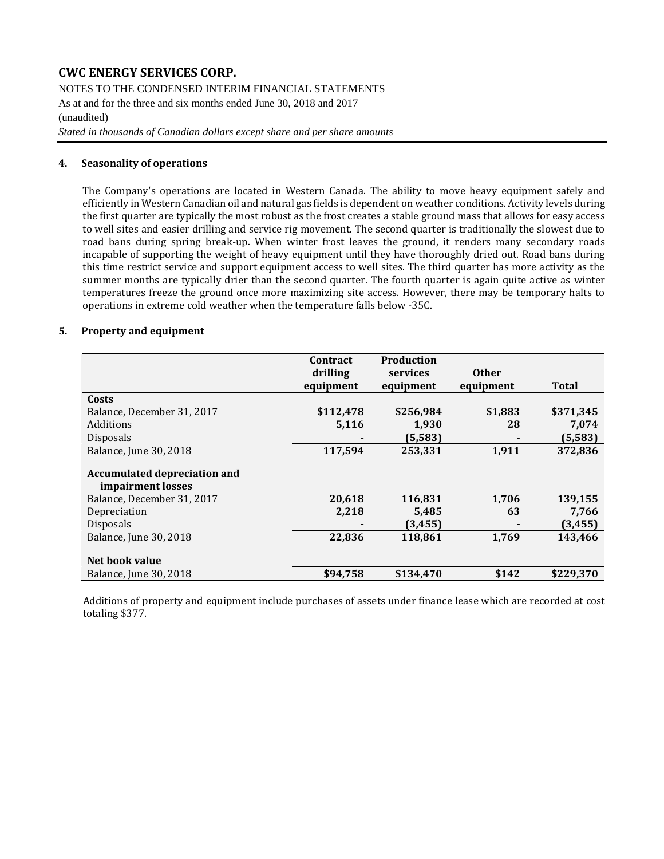NOTES TO THE CONDENSED INTERIM FINANCIAL STATEMENTS As at and for the three and six months ended June 30, 2018 and 2017 (unaudited)

*Stated in thousands of Canadian dollars except share and per share amounts*

#### **4. Seasonality of operations**

The Company's operations are located in Western Canada. The ability to move heavy equipment safely and efficiently in Western Canadian oil and natural gas fields is dependent on weather conditions. Activity levels during the first quarter are typically the most robust as the frost creates a stable ground mass that allows for easy access to well sites and easier drilling and service rig movement. The second quarter is traditionally the slowest due to road bans during spring break-up. When winter frost leaves the ground, it renders many secondary roads incapable of supporting the weight of heavy equipment until they have thoroughly dried out. Road bans during this time restrict service and support equipment access to well sites. The third quarter has more activity as the summer months are typically drier than the second quarter. The fourth quarter is again quite active as winter temperatures freeze the ground once more maximizing site access. However, there may be temporary halts to operations in extreme cold weather when the temperature falls below -35C.

### **5. Property and equipment**

|                                                          | Contract<br>drilling | Production<br>services | <b>Other</b> |              |
|----------------------------------------------------------|----------------------|------------------------|--------------|--------------|
|                                                          | equipment            | equipment              | equipment    | <b>Total</b> |
| Costs                                                    |                      |                        |              |              |
| Balance, December 31, 2017                               | \$112,478            | \$256,984              | \$1,883      | \$371,345    |
| Additions                                                | 5,116                | 1,930                  | 28           | 7,074        |
| <b>Disposals</b>                                         |                      | (5,583)                |              | (5, 583)     |
| Balance, June 30, 2018                                   | 117,594              | 253,331                | 1,911        | 372,836      |
| <b>Accumulated depreciation and</b><br>impairment losses |                      |                        |              |              |
| Balance, December 31, 2017                               | 20,618               | 116,831                | 1,706        | 139,155      |
| Depreciation                                             | 2,218                | 5,485                  | 63           | 7,766        |
| Disposals                                                |                      | (3, 455)               |              | (3, 455)     |
| Balance, June 30, 2018                                   | 22,836               | 118,861                | 1,769        | 143,466      |
| Net book value                                           |                      |                        |              |              |
| Balance, June 30, 2018                                   | \$94,758             | \$134,470              | \$142        | \$229,370    |

Additions of property and equipment include purchases of assets under finance lease which are recorded at cost totaling \$377.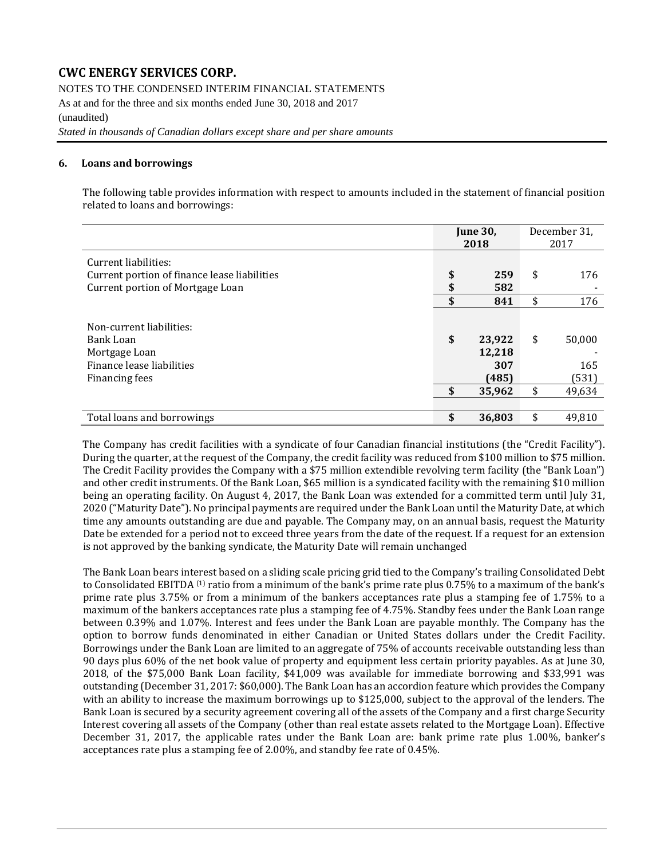NOTES TO THE CONDENSED INTERIM FINANCIAL STATEMENTS

As at and for the three and six months ended June 30, 2018 and 2017 (unaudited)

*Stated in thousands of Canadian dollars except share and per share amounts*

### **6. Loans and borrowings**

The following table provides information with respect to amounts included in the statement of financial position related to loans and borrowings:

|                                                                                                          |          | <b>June 30,</b><br>2018          | December 31,<br>2017         |
|----------------------------------------------------------------------------------------------------------|----------|----------------------------------|------------------------------|
| Current liabilities:<br>Current portion of finance lease liabilities<br>Current portion of Mortgage Loan | \$<br>\$ | 259<br>582                       | \$<br>176                    |
|                                                                                                          | \$       | 841                              | \$<br>176                    |
| Non-current liabilities:<br>Bank Loan<br>Mortgage Loan<br>Finance lease liabilities<br>Financing fees    | \$       | 23,922<br>12,218<br>307<br>(485) | \$<br>50,000<br>165<br>(531) |
|                                                                                                          | \$       | 35,962                           | \$<br>49,634                 |
|                                                                                                          |          |                                  |                              |
| Total loans and borrowings                                                                               | \$       | 36,803                           | \$<br>49,810                 |

The Company has credit facilities with a syndicate of four Canadian financial institutions (the "Credit Facility"). During the quarter, at the request of the Company, the credit facility was reduced from \$100 million to \$75 million. The Credit Facility provides the Company with a \$75 million extendible revolving term facility (the "Bank Loan") and other credit instruments. Of the Bank Loan, \$65 million is a syndicated facility with the remaining \$10 million being an operating facility. On August 4, 2017, the Bank Loan was extended for a committed term until July 31, 2020 ("Maturity Date"). No principal payments are required under the Bank Loan until the Maturity Date, at which time any amounts outstanding are due and payable. The Company may, on an annual basis, request the Maturity Date be extended for a period not to exceed three years from the date of the request. If a request for an extension is not approved by the banking syndicate, the Maturity Date will remain unchanged

The Bank Loan bears interest based on a sliding scale pricing grid tied to the Company's trailing Consolidated Debt to Consolidated EBITDA <sup>(1)</sup> ratio from a minimum of the bank's prime rate plus 0.75% to a maximum of the bank's prime rate plus 3.75% or from a minimum of the bankers acceptances rate plus a stamping fee of 1.75% to a maximum of the bankers acceptances rate plus a stamping fee of 4.75%. Standby fees under the Bank Loan range between 0.39% and 1.07%. Interest and fees under the Bank Loan are payable monthly. The Company has the option to borrow funds denominated in either Canadian or United States dollars under the Credit Facility. Borrowings under the Bank Loan are limited to an aggregate of 75% of accounts receivable outstanding less than 90 days plus 60% of the net book value of property and equipment less certain priority payables. As at June 30, 2018, of the \$75,000 Bank Loan facility, \$41,009 was available for immediate borrowing and \$33,991 was outstanding (December 31, 2017: \$60,000). The Bank Loan has an accordion feature which provides the Company with an ability to increase the maximum borrowings up to \$125,000, subject to the approval of the lenders. The Bank Loan is secured by a security agreement covering all of the assets of the Company and a first charge Security Interest covering all assets of the Company (other than real estate assets related to the Mortgage Loan). Effective December 31, 2017, the applicable rates under the Bank Loan are: bank prime rate plus 1.00%, banker's acceptances rate plus a stamping fee of 2.00%, and standby fee rate of 0.45%.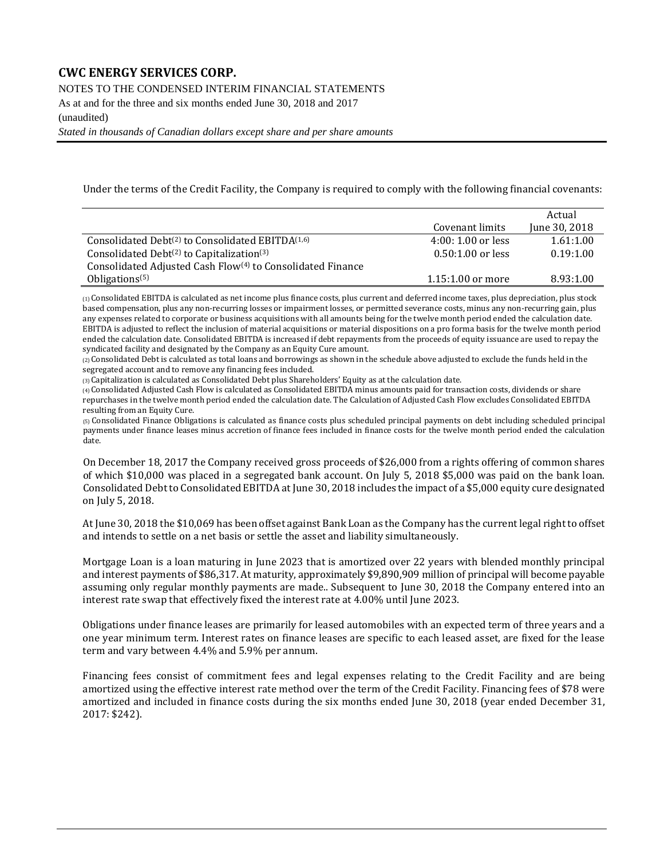NOTES TO THE CONDENSED INTERIM FINANCIAL STATEMENTS

As at and for the three and six months ended June 30, 2018 and 2017

(unaudited)

*Stated in thousands of Canadian dollars except share and per share amounts*

Under the terms of the Credit Facility, the Company is required to comply with the following financial covenants:

|                                                                          |                     | Actual        |
|--------------------------------------------------------------------------|---------------------|---------------|
|                                                                          | Covenant limits     | June 30, 2018 |
| Consolidated Debt <sup>(2)</sup> to Consolidated EBITDA <sup>(1,6)</sup> | $4:00:1.00$ or less | 1.61:1.00     |
| Consolidated Debt <sup>(2)</sup> to Capitalization <sup>(3)</sup>        | $0.50:1.00$ or less | 0.19:1.00     |
| Consolidated Adjusted Cash Flow <sup>(4)</sup> to Consolidated Finance   |                     |               |
| Obligations <sup><math>(5)</math></sup>                                  | $1.15:1.00$ or more | 8.93:1.00     |

(1) Consolidated EBITDA is calculated as net income plus finance costs, plus current and deferred income taxes, plus depreciation, plus stock based compensation, plus any non-recurring losses or impairment losses, or permitted severance costs, minus any non-recurring gain, plus any expenses related to corporate or business acquisitions with all amounts being for the twelve month period ended the calculation date. EBITDA is adjusted to reflect the inclusion of material acquisitions or material dispositions on a pro forma basis for the twelve month period ended the calculation date. Consolidated EBITDA is increased if debt repayments from the proceeds of equity issuance are used to repay the syndicated facility and designated by the Company as an Equity Cure amount.

(2) Consolidated Debt is calculated as total loans and borrowings as shown in the schedule above adjusted to exclude the funds held in the segregated account and to remove any financing fees included.

(3) Capitalization is calculated as Consolidated Debt plus Shareholders' Equity as at the calculation date.

(4) Consolidated Adjusted Cash Flow is calculated as Consolidated EBITDA minus amounts paid for transaction costs, dividends or share repurchases in the twelve month period ended the calculation date. The Calculation of Adjusted Cash Flow excludes Consolidated EBITDA resulting from an Equity Cure.

(5) Consolidated Finance Obligations is calculated as finance costs plus scheduled principal payments on debt including scheduled principal payments under finance leases minus accretion of finance fees included in finance costs for the twelve month period ended the calculation date.

On December 18, 2017 the Company received gross proceeds of \$26,000 from a rights offering of common shares of which \$10,000 was placed in a segregated bank account. On July 5, 2018 \$5,000 was paid on the bank loan. Consolidated Debt to Consolidated EBITDA at June 30, 2018 includes the impact of a \$5,000 equity cure designated on July 5, 2018.

At June 30, 2018 the \$10,069 has been offset against Bank Loan as the Company has the current legal right to offset and intends to settle on a net basis or settle the asset and liability simultaneously.

Mortgage Loan is a loan maturing in June 2023 that is amortized over 22 years with blended monthly principal and interest payments of \$86,317. At maturity, approximately \$9,890,909 million of principal will become payable assuming only regular monthly payments are made.. Subsequent to June 30, 2018 the Company entered into an interest rate swap that effectively fixed the interest rate at 4.00% until June 2023.

Obligations under finance leases are primarily for leased automobiles with an expected term of three years and a one year minimum term. Interest rates on finance leases are specific to each leased asset, are fixed for the lease term and vary between 4.4% and 5.9% per annum.

Financing fees consist of commitment fees and legal expenses relating to the Credit Facility and are being amortized using the effective interest rate method over the term of the Credit Facility. Financing fees of \$78 were amortized and included in finance costs during the six months ended June 30, 2018 (year ended December 31, 2017: \$242).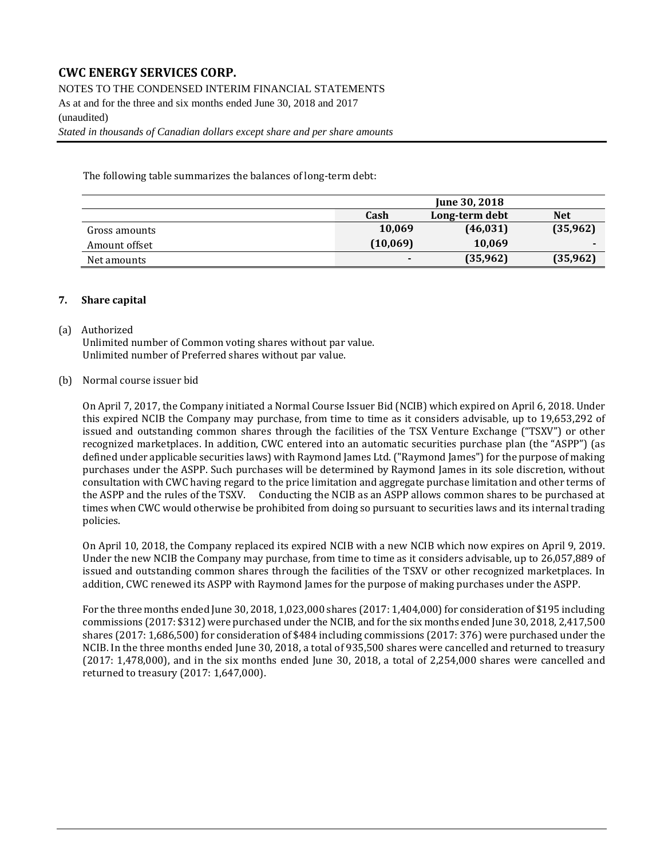NOTES TO THE CONDENSED INTERIM FINANCIAL STATEMENTS

As at and for the three and six months ended June 30, 2018 and 2017 (unaudited)

*Stated in thousands of Canadian dollars except share and per share amounts*

The following table summarizes the balances of long-term debt:

|               |          | June 30, 2018  |            |
|---------------|----------|----------------|------------|
|               | Cash     | Long-term debt | <b>Net</b> |
| Gross amounts | 10,069   | (46, 031)      | (35,962)   |
| Amount offset | (10,069) | 10,069         |            |
| Net amounts   |          | (35,962)       | (35, 962)  |

#### **7. Share capital**

#### (a) Authorized

Unlimited number of Common voting shares without par value. Unlimited number of Preferred shares without par value.

#### (b) Normal course issuer bid

On April 7, 2017, the Company initiated a Normal Course Issuer Bid (NCIB) which expired on April 6, 2018. Under this expired NCIB the Company may purchase, from time to time as it considers advisable, up to 19,653,292 of issued and outstanding common shares through the facilities of the TSX Venture Exchange ("TSXV") or other recognized marketplaces. In addition, CWC entered into an automatic securities purchase plan (the "ASPP") (as defined under applicable securities laws) with Raymond James Ltd. ("Raymond James") for the purpose of making purchases under the ASPP. Such purchases will be determined by Raymond James in its sole discretion, without consultation with CWC having regard to the price limitation and aggregate purchase limitation and other terms of the ASPP and the rules of the TSXV. Conducting the NCIB as an ASPP allows common shares to be purchased at times when CWC would otherwise be prohibited from doing so pursuant to securities laws and its internal trading policies.

On April 10, 2018, the Company replaced its expired NCIB with a new NCIB which now expires on April 9, 2019. Under the new NCIB the Company may purchase, from time to time as it considers advisable, up to 26,057,889 of issued and outstanding common shares through the facilities of the TSXV or other recognized marketplaces. In addition, CWC renewed its ASPP with Raymond James for the purpose of making purchases under the ASPP.

For the three months ended June 30, 2018, 1,023,000 shares (2017: 1,404,000) for consideration of \$195 including commissions (2017: \$312) were purchased under the NCIB, and for the six months ended June 30, 2018, 2,417,500 shares (2017: 1,686,500) for consideration of \$484 including commissions (2017: 376) were purchased under the NCIB. In the three months ended June 30, 2018, a total of 935,500 shares were cancelled and returned to treasury (2017: 1,478,000), and in the six months ended June 30, 2018, a total of 2,254,000 shares were cancelled and returned to treasury (2017: 1,647,000).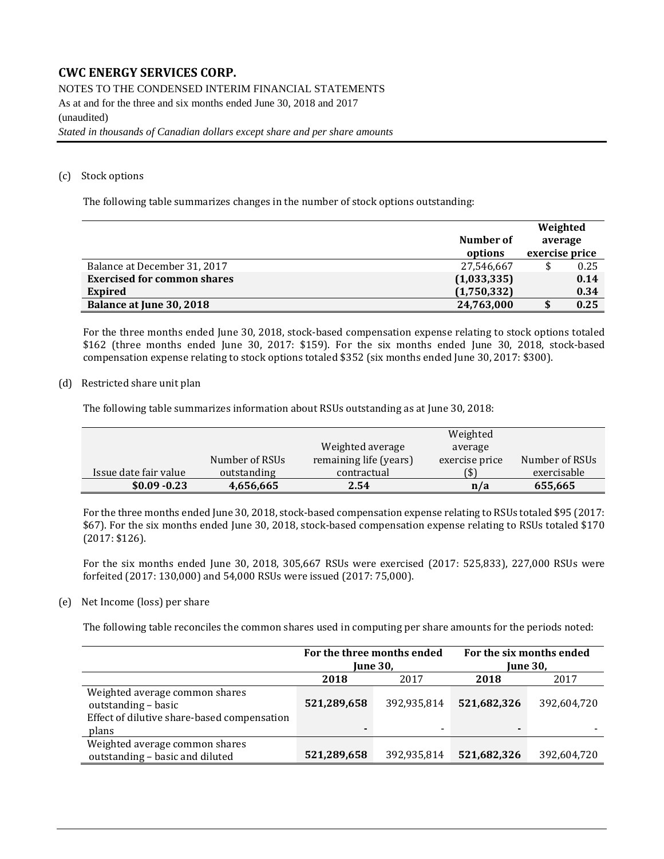NOTES TO THE CONDENSED INTERIM FINANCIAL STATEMENTS As at and for the three and six months ended June 30, 2018 and 2017 (unaudited) *Stated in thousands of Canadian dollars except share and per share amounts*

### (c) Stock options

The following table summarizes changes in the number of stock options outstanding:

|                                    |             | Weighted       |      |  |
|------------------------------------|-------------|----------------|------|--|
|                                    | Number of   | average        |      |  |
|                                    | options     | exercise price |      |  |
| Balance at December 31, 2017       | 27,546,667  |                | 0.25 |  |
| <b>Exercised for common shares</b> | (1,033,335) |                | 0.14 |  |
| <b>Expired</b>                     | (1,750,332) |                | 0.34 |  |
| Balance at June 30, 2018           | 24,763,000  |                | 0.25 |  |

For the three months ended June 30, 2018, stock-based compensation expense relating to stock options totaled \$162 (three months ended June 30, 2017: \$159). For the six months ended June 30, 2018, stock-based compensation expense relating to stock options totaled \$352 (six months ended June 30, 2017: \$300).

(d) Restricted share unit plan

The following table summarizes information about RSUs outstanding as at June 30, 2018:

|                       |                |                        | Weighted       |                |
|-----------------------|----------------|------------------------|----------------|----------------|
|                       |                | Weighted average       | average        |                |
|                       | Number of RSUs | remaining life (years) | exercise price | Number of RSUs |
| Issue date fair value | outstanding    | contractual            | (\$)           | exercisable    |
| $$0.09 - 0.23$        | 4,656,665      | 2.54                   | n/a            | 655,665        |

For the three months ended June 30, 2018, stock-based compensation expense relating to RSUs totaled \$95 (2017: \$67). For the six months ended June 30, 2018, stock-based compensation expense relating to RSUs totaled \$170 (2017: \$126).

For the six months ended June 30, 2018, 305,667 RSUs were exercised (2017: 525,833), 227,000 RSUs were forfeited (2017: 130,000) and 54,000 RSUs were issued (2017: 75,000).

#### (e) Net Income (loss) per share

The following table reconciles the common shares used in computing per share amounts for the periods noted:

|                                                                                                               | For the three months ended<br><b>June 30,</b> |             | For the six months ended<br><b>June 30,</b> |             |
|---------------------------------------------------------------------------------------------------------------|-----------------------------------------------|-------------|---------------------------------------------|-------------|
|                                                                                                               | 2018                                          | 2017        | 2018                                        | 2017        |
| Weighted average common shares<br>outstanding - basic<br>Effect of dilutive share-based compensation<br>plans | 521,289,658<br>$\overline{\phantom{0}}$       | 392,935,814 | 521,682,326<br>$\blacksquare$               | 392,604,720 |
| Weighted average common shares<br>outstanding - basic and diluted                                             | 521,289,658                                   | 392,935,814 | 521,682,326                                 | 392,604,720 |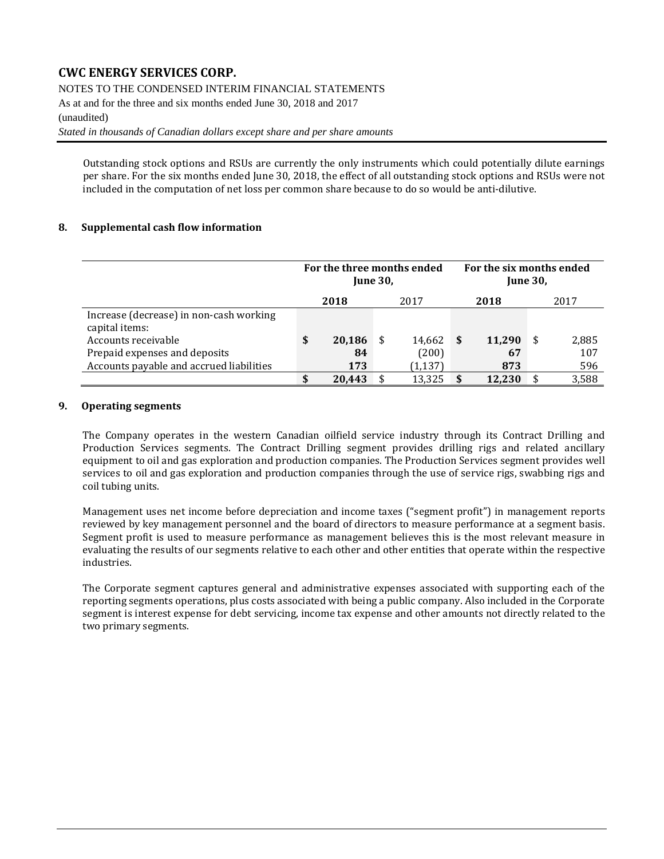NOTES TO THE CONDENSED INTERIM FINANCIAL STATEMENTS

As at and for the three and six months ended June 30, 2018 and 2017

#### (unaudited)

*Stated in thousands of Canadian dollars except share and per share amounts*

Outstanding stock options and RSUs are currently the only instruments which could potentially dilute earnings per share. For the six months ended June 30, 2018, the effect of all outstanding stock options and RSUs were not included in the computation of net loss per common share because to do so would be anti-dilutive.

### **8. Supplemental cash flow information**

|                                                           | For the three months ended<br><b>June 30.</b> |        |  |          | For the six months ended<br><b>June 30,</b> |        |   |       |
|-----------------------------------------------------------|-----------------------------------------------|--------|--|----------|---------------------------------------------|--------|---|-------|
|                                                           |                                               | 2018   |  | 2017     |                                             | 2018   |   | 2017  |
| Increase (decrease) in non-cash working<br>capital items: |                                               |        |  |          |                                             |        |   |       |
| Accounts receivable                                       | S                                             | 20,186 |  | 14,662   | -\$                                         | 11,290 | S | 2,885 |
| Prepaid expenses and deposits                             |                                               | 84     |  | (200)    |                                             | 67     |   | 107   |
| Accounts payable and accrued liabilities                  |                                               | 173    |  | (1, 137) |                                             | 873    |   | 596   |
|                                                           |                                               | 20.443 |  | 13.325   | \$                                          | 12.230 |   | 3,588 |

#### **9. Operating segments**

The Company operates in the western Canadian oilfield service industry through its Contract Drilling and Production Services segments. The Contract Drilling segment provides drilling rigs and related ancillary equipment to oil and gas exploration and production companies. The Production Services segment provides well services to oil and gas exploration and production companies through the use of service rigs, swabbing rigs and coil tubing units.

Management uses net income before depreciation and income taxes ("segment profit") in management reports reviewed by key management personnel and the board of directors to measure performance at a segment basis. Segment profit is used to measure performance as management believes this is the most relevant measure in evaluating the results of our segments relative to each other and other entities that operate within the respective industries.

The Corporate segment captures general and administrative expenses associated with supporting each of the reporting segments operations, plus costs associated with being a public company. Also included in the Corporate segment is interest expense for debt servicing, income tax expense and other amounts not directly related to the two primary segments.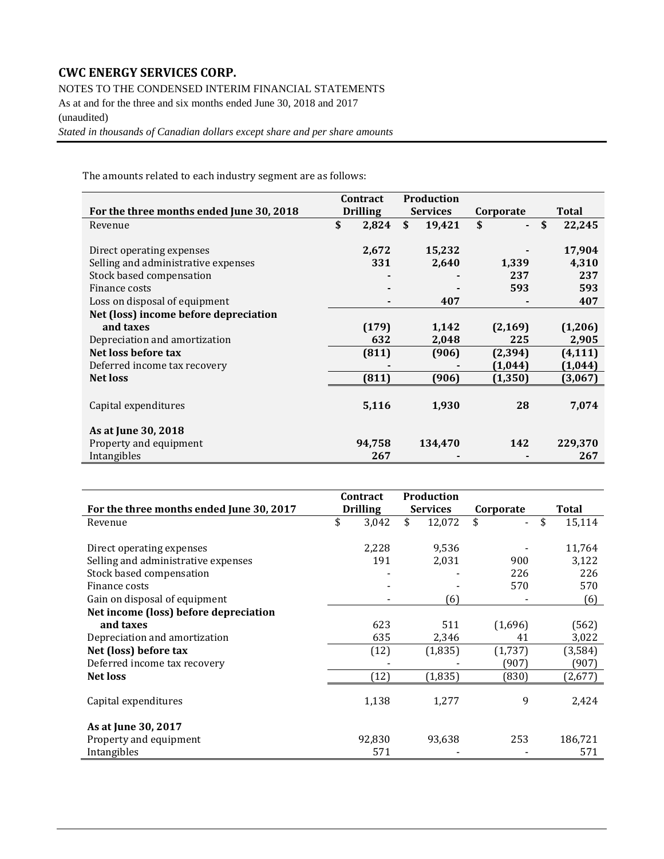NOTES TO THE CONDENSED INTERIM FINANCIAL STATEMENTS

As at and for the three and six months ended June 30, 2018 and 2017 (unaudited)

*Stated in thousands of Canadian dollars except share and per share amounts*

The amounts related to each industry segment are as follows:

|                                          | <b>Contract</b> | <b>Production</b> |           |              |
|------------------------------------------|-----------------|-------------------|-----------|--------------|
| For the three months ended June 30, 2018 | <b>Drilling</b> | <b>Services</b>   | Corporate | Total        |
| Revenue                                  | \$<br>2,824     | \$<br>19,421      | \$        | \$<br>22,245 |
|                                          |                 |                   |           |              |
| Direct operating expenses                | 2,672           | 15,232            |           | 17,904       |
| Selling and administrative expenses      | 331             | 2,640             | 1,339     | 4,310        |
| Stock based compensation                 |                 |                   | 237       | 237          |
| Finance costs                            |                 |                   | 593       | 593          |
| Loss on disposal of equipment            |                 | 407               |           | 407          |
| Net (loss) income before depreciation    |                 |                   |           |              |
| and taxes                                | (179)           | 1,142             | (2, 169)  | (1,206)      |
| Depreciation and amortization            | 632             | 2,048             | 225       | 2,905        |
| Net loss before tax                      | (811)           | (906)             | (2, 394)  | (4, 111)     |
| Deferred income tax recovery             |                 |                   | (1,044)   | (1,044)      |
| <b>Net loss</b>                          | (811)           | (906)             | (1, 350)  | (3,067)      |
|                                          |                 |                   |           |              |
| Capital expenditures                     | 5,116           | 1,930             | 28        | 7,074        |
|                                          |                 |                   |           |              |
| As at June 30, 2018                      |                 |                   |           |              |
| Property and equipment                   | 94,758          | 134,470           | 142       | 229,370      |
| Intangibles                              | 267             |                   |           | 267          |

|                                          | <b>Contract</b> | Production      |           |              |
|------------------------------------------|-----------------|-----------------|-----------|--------------|
| For the three months ended June 30, 2017 | <b>Drilling</b> | <b>Services</b> | Corporate | Total        |
| Revenue                                  | \$<br>3,042     | \$<br>12,072    | \$        | \$<br>15,114 |
|                                          |                 |                 |           |              |
| Direct operating expenses                | 2,228           | 9,536           |           | 11,764       |
| Selling and administrative expenses      | 191             | 2,031           | 900       | 3,122        |
| Stock based compensation                 |                 |                 | 226       | 226          |
| Finance costs                            |                 |                 | 570       | 570          |
| Gain on disposal of equipment            |                 | (6)             |           | (6)          |
| Net income (loss) before depreciation    |                 |                 |           |              |
| and taxes                                | 623             | 511             | (1,696)   | (562)        |
| Depreciation and amortization            | 635             | 2,346           | 41        | 3,022        |
| Net (loss) before tax                    | (12)            | (1,835)         | (1,737)   | (3,584)      |
| Deferred income tax recovery             |                 |                 | (907)     | (907)        |
| <b>Net loss</b>                          | (12)            | (1,835)         | (830)     | (2,677)      |
|                                          |                 |                 |           |              |
| Capital expenditures                     | 1,138           | 1,277           | 9         | 2,424        |
|                                          |                 |                 |           |              |
| As at June 30, 2017                      |                 |                 |           |              |
| Property and equipment                   | 92,830          | 93,638          | 253       | 186,721      |
| Intangibles                              | 571             |                 |           | 571          |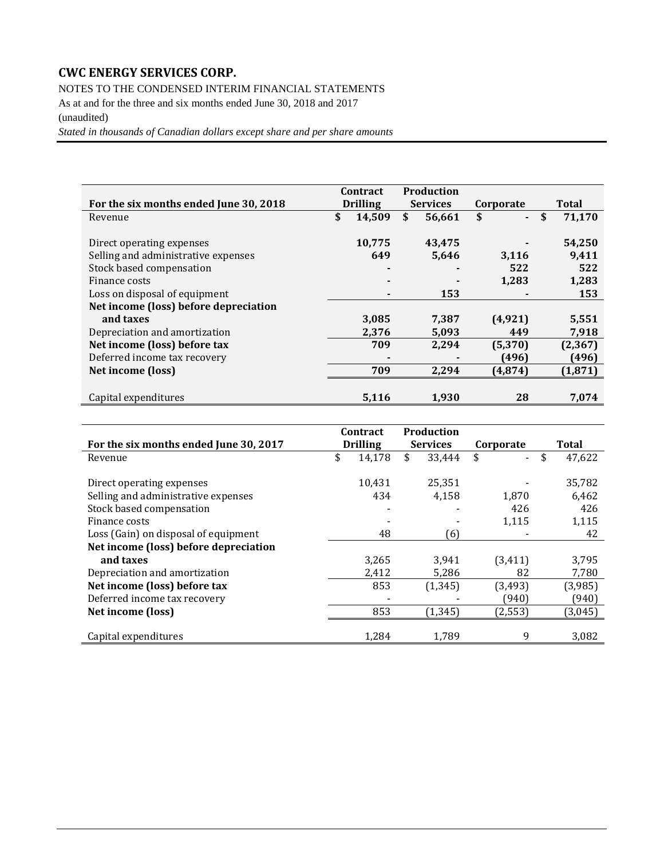NOTES TO THE CONDENSED INTERIM FINANCIAL STATEMENTS

As at and for the three and six months ended June 30, 2018 and 2017 (unaudited)

*Stated in thousands of Canadian dollars except share and per share amounts*

|                                        | <b>Contract</b> | <b>Production</b> |                      |              |
|----------------------------------------|-----------------|-------------------|----------------------|--------------|
| For the six months ended June 30, 2018 | <b>Drilling</b> | <b>Services</b>   | Corporate            | Total        |
| Revenue                                | \$<br>14,509    | \$<br>56,661      | \$<br>$\blacksquare$ | \$<br>71,170 |
|                                        |                 |                   |                      |              |
| Direct operating expenses              | 10,775          | 43,475            |                      | 54,250       |
| Selling and administrative expenses    | 649             | 5,646             | 3,116                | 9,411        |
| Stock based compensation               |                 |                   | 522                  | 522          |
| Finance costs                          |                 |                   | 1,283                | 1,283        |
| Loss on disposal of equipment          |                 | 153               |                      | 153          |
| Net income (loss) before depreciation  |                 |                   |                      |              |
| and taxes                              | 3,085           | 7,387             | (4, 921)             | 5,551        |
| Depreciation and amortization          | 2,376           | 5,093             | 449                  | 7,918        |
| Net income (loss) before tax           | 709             | 2,294             | (5,370)              | (2, 367)     |
| Deferred income tax recovery           |                 |                   | (496)                | (496)        |
| Net income (loss)                      | 709             | 2,294             | (4, 874)             | (1, 871)     |
|                                        |                 |                   |                      |              |
| Capital expenditures                   | 5.116           | 1.930             | 28                   | 7,074        |

|                                        | Contract        | Production      |           |                                |         |
|----------------------------------------|-----------------|-----------------|-----------|--------------------------------|---------|
| For the six months ended June 30, 2017 | <b>Drilling</b> | <b>Services</b> | Corporate |                                | Total   |
| Revenue                                | \$<br>14,178    | \$<br>33,444    | \$        | \$<br>$\overline{\phantom{0}}$ | 47,622  |
| Direct operating expenses              | 10,431          | 25,351          |           |                                | 35,782  |
| Selling and administrative expenses    | 434             | 4,158           | 1.870     |                                | 6,462   |
| Stock based compensation               |                 |                 | 426       |                                | 426     |
| Finance costs                          |                 |                 | 1,115     |                                | 1,115   |
| Loss (Gain) on disposal of equipment   | 48              | 61              |           |                                | 42      |
| Net income (loss) before depreciation  |                 |                 |           |                                |         |
| and taxes                              | 3,265           | 3,941           | (3, 411)  |                                | 3,795   |
| Depreciation and amortization          | 2,412           | 5,286           | 82        |                                | 7,780   |
| Net income (loss) before tax           | 853             | (1, 345)        | (3, 493)  |                                | (3,985) |
| Deferred income tax recovery           |                 |                 | (940)     |                                | (940)   |
| Net income (loss)                      | 853             | (1, 345)        | (2, 553)  |                                | (3,045) |
| Capital expenditures                   | 1,284           | 1,789           | 9         |                                | 3,082   |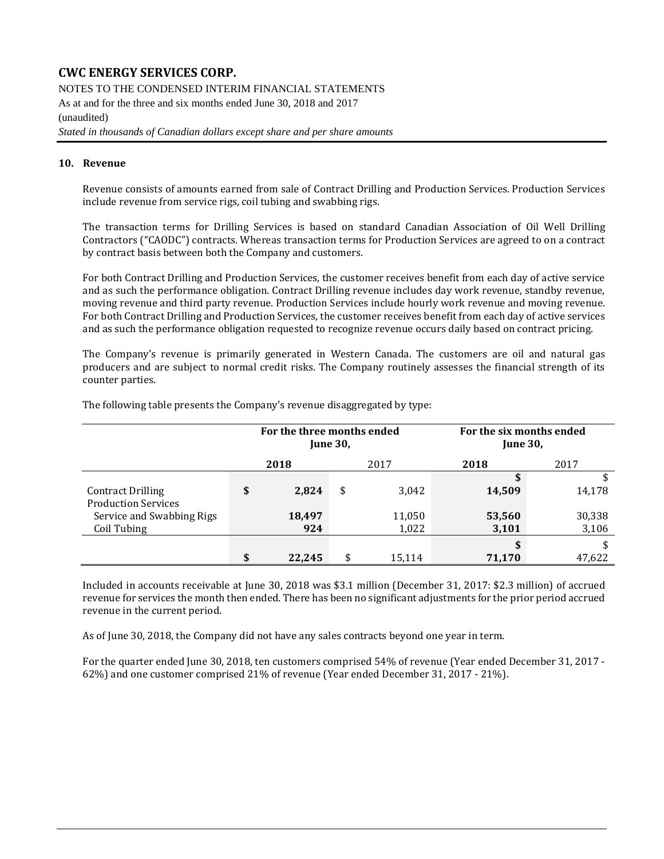NOTES TO THE CONDENSED INTERIM FINANCIAL STATEMENTS

As at and for the three and six months ended June 30, 2018 and 2017

(unaudited)

*Stated in thousands of Canadian dollars except share and per share amounts*

### **10. Revenue**

Revenue consists of amounts earned from sale of Contract Drilling and Production Services. Production Services include revenue from service rigs, coil tubing and swabbing rigs.

The transaction terms for Drilling Services is based on standard Canadian Association of Oil Well Drilling Contractors ("CAODC") contracts. Whereas transaction terms for Production Services are agreed to on a contract by contract basis between both the Company and customers.

For both Contract Drilling and Production Services, the customer receives benefit from each day of active service and as such the performance obligation. Contract Drilling revenue includes day work revenue, standby revenue, moving revenue and third party revenue. Production Services include hourly work revenue and moving revenue. For both Contract Drilling and Production Services, the customer receives benefit from each day of active services and as such the performance obligation requested to recognize revenue occurs daily based on contract pricing.

The Company's revenue is primarily generated in Western Canada. The customers are oil and natural gas producers and are subject to normal credit risks. The Company routinely assesses the financial strength of its counter parties.

|                            | For the three months ended | <b>June 30,</b> |        | For the six months ended<br><b>June 30,</b> |        |  |  |
|----------------------------|----------------------------|-----------------|--------|---------------------------------------------|--------|--|--|
|                            | 2018                       |                 | 2017   | 2018                                        | 2017   |  |  |
|                            |                            |                 |        | J.                                          | \$     |  |  |
| <b>Contract Drilling</b>   | \$<br>2,824                | \$              | 3,042  | 14,509                                      | 14,178 |  |  |
| <b>Production Services</b> |                            |                 |        |                                             |        |  |  |
| Service and Swabbing Rigs  | 18,497                     |                 | 11,050 | 53,560                                      | 30,338 |  |  |
| Coil Tubing                | 924                        |                 | 1,022  | 3,101                                       | 3,106  |  |  |
|                            |                            |                 |        |                                             | \$     |  |  |
|                            | \$<br>22,245               | \$              | 15,114 | 71,170                                      | 47,622 |  |  |

The following table presents the Company's revenue disaggregated by type:

Included in accounts receivable at June 30, 2018 was \$3.1 million (December 31, 2017: \$2.3 million) of accrued revenue for services the month then ended. There has been no significant adjustments for the prior period accrued revenue in the current period.

As of June 30, 2018, the Company did not have any sales contracts beyond one year in term.

For the quarter ended June 30, 2018, ten customers comprised 54% of revenue (Year ended December 31, 2017 - 62%) and one customer comprised 21% of revenue (Year ended December 31, 2017 - 21%).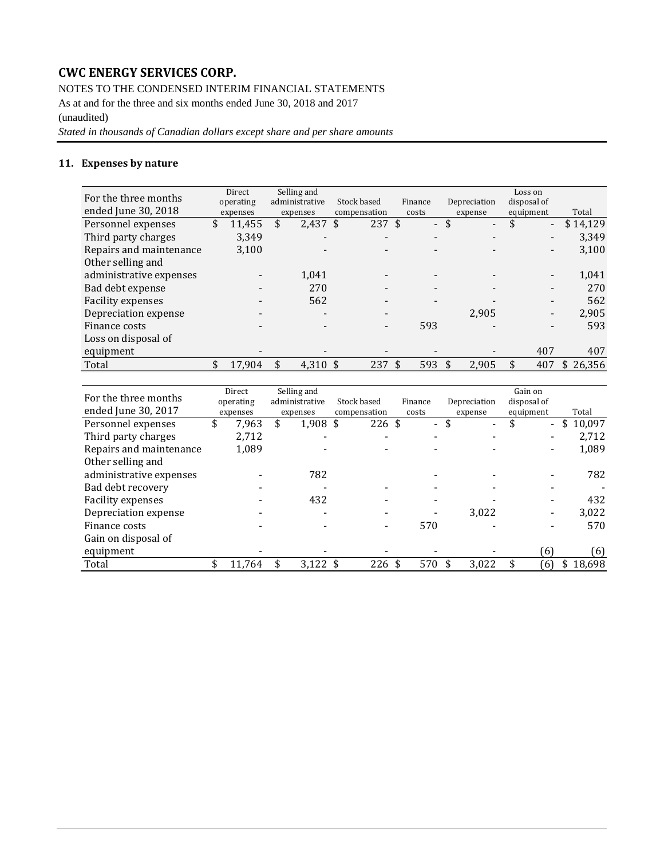NOTES TO THE CONDENSED INTERIM FINANCIAL STATEMENTS

As at and for the three and six months ended June 30, 2018 and 2017 (unaudited)

*Stated in thousands of Canadian dollars except share and per share amounts*

### **11. Expenses by nature**

| For the three months<br>ended June 30, 2018 | Direct<br>operating<br>expenses | Selling and<br>administrative<br>expenses | Stock based<br>compensation |     | Finance<br>costs         | Depreciation<br>expense        | Loss on<br>disposal of<br>equipment | Total    |
|---------------------------------------------|---------------------------------|-------------------------------------------|-----------------------------|-----|--------------------------|--------------------------------|-------------------------------------|----------|
| Personnel expenses                          | \$<br>11.455                    | \$<br>$2,437$ \$                          | $237 \text{ }$ \$           |     | $\overline{\phantom{0}}$ | \$<br>$\overline{\phantom{a}}$ | \$<br>$\blacksquare$                | \$14,129 |
| Third party charges                         | 3,349                           | $\overline{\phantom{0}}$                  |                             |     | $\overline{\phantom{0}}$ | $\overline{\phantom{0}}$       |                                     | 3,349    |
| Repairs and maintenance                     | 3,100                           |                                           |                             |     |                          |                                |                                     | 3,100    |
| Other selling and                           |                                 |                                           |                             |     |                          |                                |                                     |          |
| administrative expenses                     |                                 | 1.041                                     |                             |     |                          |                                |                                     | 1.041    |
| Bad debt expense                            |                                 | 270                                       |                             |     |                          |                                |                                     | 270      |
| <b>Facility expenses</b>                    |                                 | 562                                       |                             |     |                          |                                |                                     | 562      |
| Depreciation expense                        |                                 |                                           |                             |     |                          | 2.905                          |                                     | 2.905    |
| Finance costs                               |                                 |                                           |                             |     | 593                      |                                |                                     | 593      |
| Loss on disposal of                         |                                 |                                           |                             |     |                          |                                |                                     |          |
| equipment                                   |                                 |                                           |                             |     |                          |                                | 407                                 | 407      |
| Total                                       | \$<br>17.904                    | \$<br>4,310 $\frac{1}{2}$                 | 237                         | -\$ | 593                      | 2,905                          | 407                                 | \$26,356 |

|                         | Direct      | Selling and      |              |         |                                | Gain on                        |              |
|-------------------------|-------------|------------------|--------------|---------|--------------------------------|--------------------------------|--------------|
| For the three months    | operating   | administrative   | Stock based  | Finance | Depreciation                   | disposal of                    |              |
| ended June 30, 2017     | expenses    | expenses         | compensation | costs   | expense                        | equipment                      | Total        |
| Personnel expenses      | \$<br>7.963 | \$<br>$1,908$ \$ | 226S         | $\sim$  | \$<br>$\overline{\phantom{a}}$ | \$<br>$\overline{\phantom{0}}$ | 10,097<br>\$ |
| Third party charges     | 2,712       | -                |              | -       |                                |                                | 2,712        |
| Repairs and maintenance | 1,089       |                  |              |         |                                |                                | 1,089        |
| Other selling and       |             |                  |              |         |                                |                                |              |
| administrative expenses |             | 782              |              |         |                                |                                | 782          |
| Bad debt recovery       |             |                  |              | ۰       |                                |                                |              |
| Facility expenses       |             | 432              |              |         |                                |                                | 432          |
| Depreciation expense    |             |                  |              |         | 3.022                          |                                | 3,022        |
| Finance costs           |             |                  |              | 570     |                                |                                | 570          |
| Gain on disposal of     |             |                  |              |         |                                |                                |              |
| equipment               |             |                  |              |         |                                | 61                             | (6)          |
| Total                   | 11.764      | \$<br>$3,122$ \$ | 226 \$       | 570     | 3,022                          | 6)                             | 18,698       |